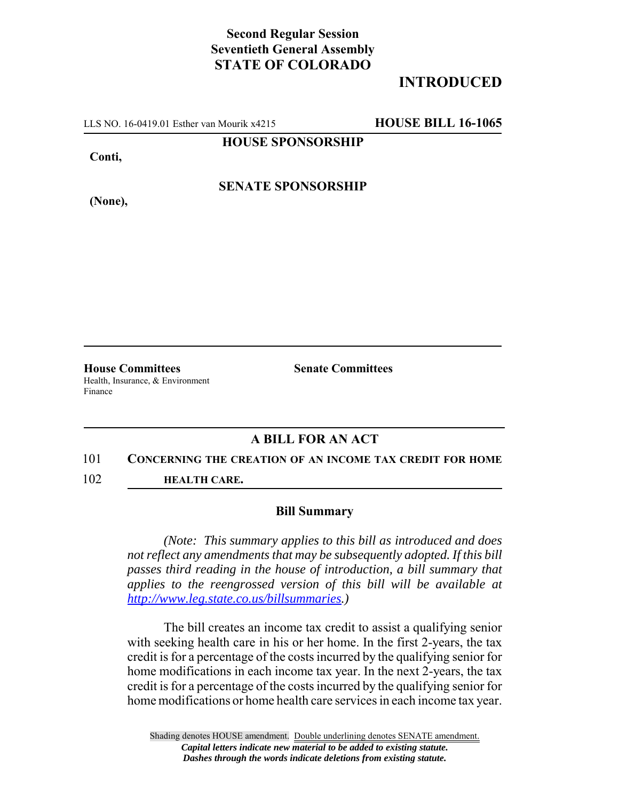# **Second Regular Session Seventieth General Assembly STATE OF COLORADO**

# **INTRODUCED**

LLS NO. 16-0419.01 Esther van Mourik x4215 **HOUSE BILL 16-1065**

### **HOUSE SPONSORSHIP**

**Conti,**

**(None),**

**SENATE SPONSORSHIP**

**House Committees Senate Committees** Health, Insurance, & Environment Finance

## **A BILL FOR AN ACT**

### 101 **CONCERNING THE CREATION OF AN INCOME TAX CREDIT FOR HOME**

102 **HEALTH CARE.**

### **Bill Summary**

*(Note: This summary applies to this bill as introduced and does not reflect any amendments that may be subsequently adopted. If this bill passes third reading in the house of introduction, a bill summary that applies to the reengrossed version of this bill will be available at http://www.leg.state.co.us/billsummaries.)*

The bill creates an income tax credit to assist a qualifying senior with seeking health care in his or her home. In the first 2-years, the tax credit is for a percentage of the costs incurred by the qualifying senior for home modifications in each income tax year. In the next 2-years, the tax credit is for a percentage of the costs incurred by the qualifying senior for home modifications or home health care services in each income tax year.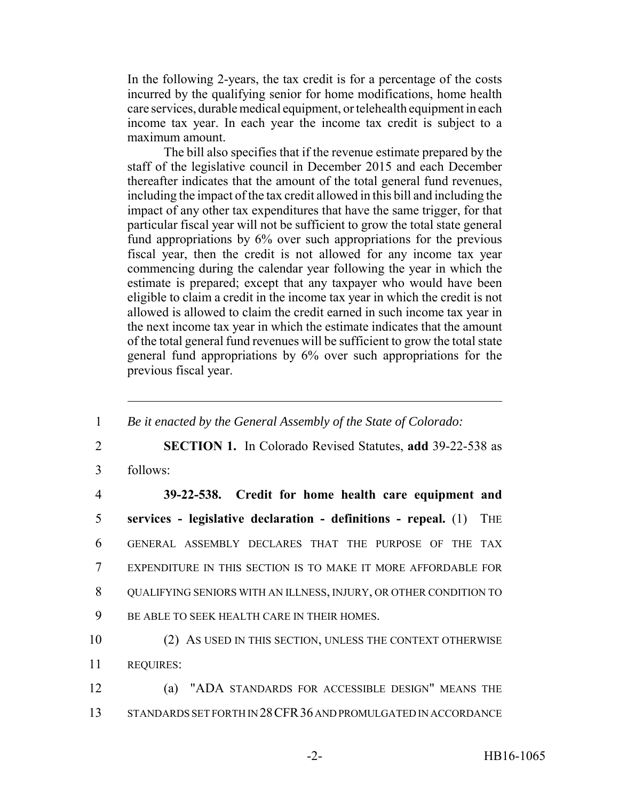In the following 2-years, the tax credit is for a percentage of the costs incurred by the qualifying senior for home modifications, home health care services, durable medical equipment, or telehealth equipment in each income tax year. In each year the income tax credit is subject to a maximum amount.

The bill also specifies that if the revenue estimate prepared by the staff of the legislative council in December 2015 and each December thereafter indicates that the amount of the total general fund revenues, including the impact of the tax credit allowed in this bill and including the impact of any other tax expenditures that have the same trigger, for that particular fiscal year will not be sufficient to grow the total state general fund appropriations by 6% over such appropriations for the previous fiscal year, then the credit is not allowed for any income tax year commencing during the calendar year following the year in which the estimate is prepared; except that any taxpayer who would have been eligible to claim a credit in the income tax year in which the credit is not allowed is allowed to claim the credit earned in such income tax year in the next income tax year in which the estimate indicates that the amount of the total general fund revenues will be sufficient to grow the total state general fund appropriations by 6% over such appropriations for the previous fiscal year.

| $\mathbf{1}$   | Be it enacted by the General Assembly of the State of Colorado:              |
|----------------|------------------------------------------------------------------------------|
| $\overline{2}$ | <b>SECTION 1.</b> In Colorado Revised Statutes, add 39-22-538 as             |
| 3              | follows:                                                                     |
| $\overline{4}$ | 39-22-538. Credit for home health care equipment and                         |
| 5              | services - legislative declaration - definitions - repeal. (1)<br><b>THE</b> |
| 6              | GENERAL ASSEMBLY DECLARES THAT THE PURPOSE OF THE TAX                        |
| $\overline{7}$ | EXPENDITURE IN THIS SECTION IS TO MAKE IT MORE AFFORDABLE FOR                |
| 8              | QUALIFYING SENIORS WITH AN ILLNESS, INJURY, OR OTHER CONDITION TO            |
| 9              | BE ABLE TO SEEK HEALTH CARE IN THEIR HOMES.                                  |
| 10             | (2) AS USED IN THIS SECTION, UNLESS THE CONTEXT OTHERWISE                    |
| 11             | <b>REQUIRES:</b>                                                             |
| 12             | "ADA STANDARDS FOR ACCESSIBLE DESIGN" MEANS THE<br>(a)                       |
| 13             | STANDARDS SET FORTH IN 28 CFR 36 AND PROMULGATED IN ACCORDANCE               |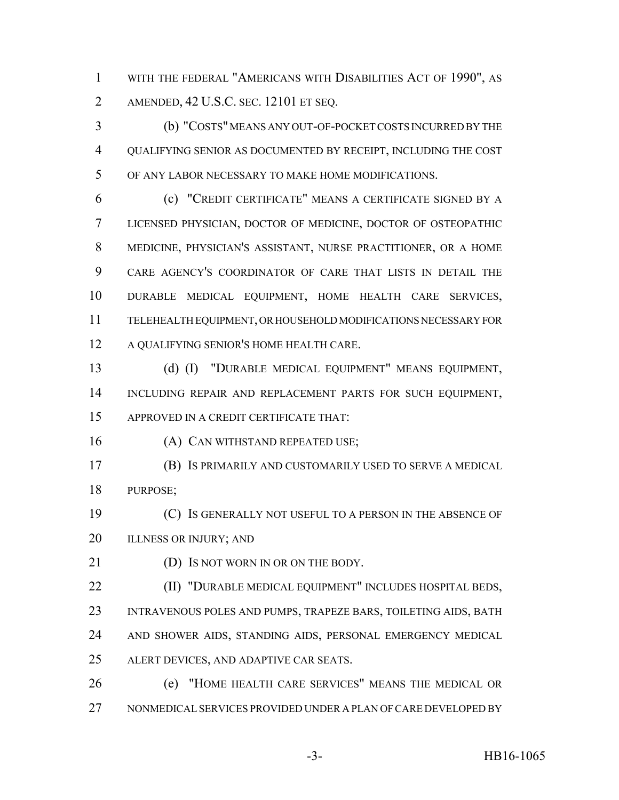WITH THE FEDERAL "AMERICANS WITH DISABILITIES ACT OF 1990", AS AMENDED, 42 U.S.C. SEC. 12101 ET SEQ.

 (b) "COSTS" MEANS ANY OUT-OF-POCKET COSTS INCURRED BY THE QUALIFYING SENIOR AS DOCUMENTED BY RECEIPT, INCLUDING THE COST OF ANY LABOR NECESSARY TO MAKE HOME MODIFICATIONS.

 (c) "CREDIT CERTIFICATE" MEANS A CERTIFICATE SIGNED BY A LICENSED PHYSICIAN, DOCTOR OF MEDICINE, DOCTOR OF OSTEOPATHIC MEDICINE, PHYSICIAN'S ASSISTANT, NURSE PRACTITIONER, OR A HOME CARE AGENCY'S COORDINATOR OF CARE THAT LISTS IN DETAIL THE DURABLE MEDICAL EQUIPMENT, HOME HEALTH CARE SERVICES, TELEHEALTH EQUIPMENT, OR HOUSEHOLD MODIFICATIONS NECESSARY FOR A QUALIFYING SENIOR'S HOME HEALTH CARE.

 (d) (I) "DURABLE MEDICAL EQUIPMENT" MEANS EQUIPMENT, INCLUDING REPAIR AND REPLACEMENT PARTS FOR SUCH EQUIPMENT, APPROVED IN A CREDIT CERTIFICATE THAT:

16 (A) CAN WITHSTAND REPEATED USE;

 (B) IS PRIMARILY AND CUSTOMARILY USED TO SERVE A MEDICAL PURPOSE;

 (C) IS GENERALLY NOT USEFUL TO A PERSON IN THE ABSENCE OF 20 ILLNESS OR INJURY; AND

21 (D) IS NOT WORN IN OR ON THE BODY.

 (II) "DURABLE MEDICAL EQUIPMENT" INCLUDES HOSPITAL BEDS, INTRAVENOUS POLES AND PUMPS, TRAPEZE BARS, TOILETING AIDS, BATH AND SHOWER AIDS, STANDING AIDS, PERSONAL EMERGENCY MEDICAL ALERT DEVICES, AND ADAPTIVE CAR SEATS.

 (e) "HOME HEALTH CARE SERVICES" MEANS THE MEDICAL OR NONMEDICAL SERVICES PROVIDED UNDER A PLAN OF CARE DEVELOPED BY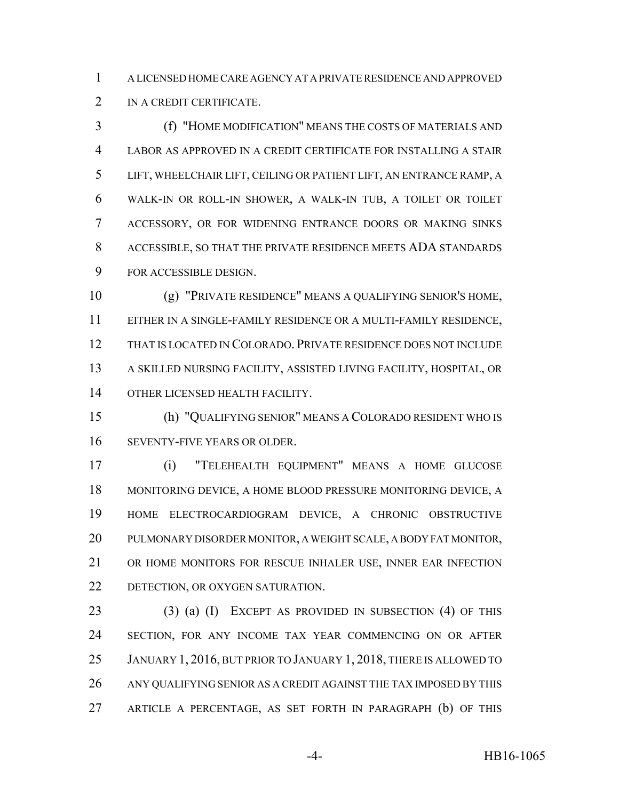A LICENSED HOME CARE AGENCY AT A PRIVATE RESIDENCE AND APPROVED IN A CREDIT CERTIFICATE.

 (f) "HOME MODIFICATION" MEANS THE COSTS OF MATERIALS AND LABOR AS APPROVED IN A CREDIT CERTIFICATE FOR INSTALLING A STAIR LIFT, WHEELCHAIR LIFT, CEILING OR PATIENT LIFT, AN ENTRANCE RAMP, A WALK-IN OR ROLL-IN SHOWER, A WALK-IN TUB, A TOILET OR TOILET ACCESSORY, OR FOR WIDENING ENTRANCE DOORS OR MAKING SINKS ACCESSIBLE, SO THAT THE PRIVATE RESIDENCE MEETS ADA STANDARDS FOR ACCESSIBLE DESIGN.

 (g) "PRIVATE RESIDENCE" MEANS A QUALIFYING SENIOR'S HOME, EITHER IN A SINGLE-FAMILY RESIDENCE OR A MULTI-FAMILY RESIDENCE, THAT IS LOCATED IN COLORADO. PRIVATE RESIDENCE DOES NOT INCLUDE A SKILLED NURSING FACILITY, ASSISTED LIVING FACILITY, HOSPITAL, OR OTHER LICENSED HEALTH FACILITY.

 (h) "QUALIFYING SENIOR" MEANS A COLORADO RESIDENT WHO IS SEVENTY-FIVE YEARS OR OLDER.

 (i) "TELEHEALTH EQUIPMENT" MEANS A HOME GLUCOSE MONITORING DEVICE, A HOME BLOOD PRESSURE MONITORING DEVICE, A HOME ELECTROCARDIOGRAM DEVICE, A CHRONIC OBSTRUCTIVE PULMONARY DISORDER MONITOR, A WEIGHT SCALE, A BODY FAT MONITOR, OR HOME MONITORS FOR RESCUE INHALER USE, INNER EAR INFECTION DETECTION, OR OXYGEN SATURATION.

 (3) (a) (I) EXCEPT AS PROVIDED IN SUBSECTION (4) OF THIS SECTION, FOR ANY INCOME TAX YEAR COMMENCING ON OR AFTER JANUARY 1, 2016, BUT PRIOR TO JANUARY 1, 2018, THERE IS ALLOWED TO ANY QUALIFYING SENIOR AS A CREDIT AGAINST THE TAX IMPOSED BY THIS ARTICLE A PERCENTAGE, AS SET FORTH IN PARAGRAPH (b) OF THIS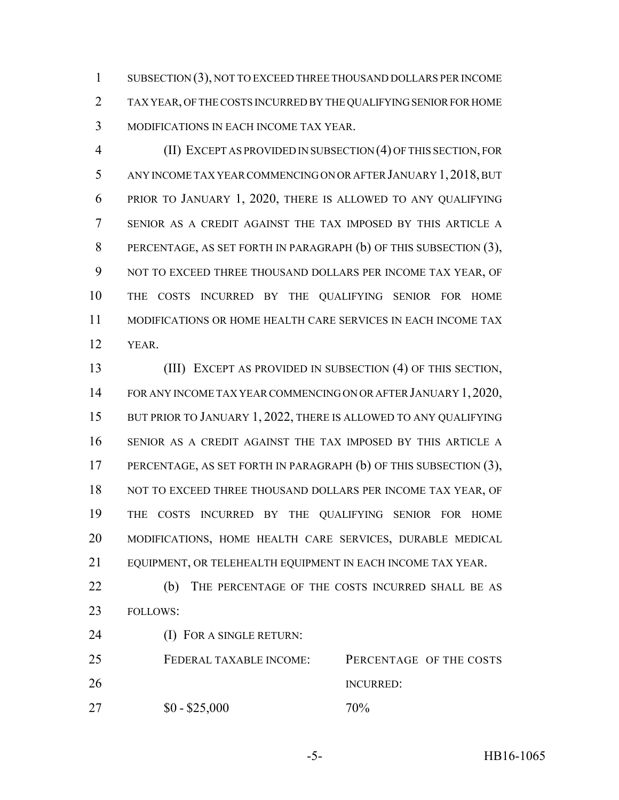SUBSECTION (3), NOT TO EXCEED THREE THOUSAND DOLLARS PER INCOME TAX YEAR, OF THE COSTS INCURRED BY THE QUALIFYING SENIOR FOR HOME MODIFICATIONS IN EACH INCOME TAX YEAR.

 (II) EXCEPT AS PROVIDED IN SUBSECTION (4) OF THIS SECTION, FOR ANY INCOME TAX YEAR COMMENCING ON OR AFTER JANUARY 1,2018, BUT PRIOR TO JANUARY 1, 2020, THERE IS ALLOWED TO ANY QUALIFYING SENIOR AS A CREDIT AGAINST THE TAX IMPOSED BY THIS ARTICLE A PERCENTAGE, AS SET FORTH IN PARAGRAPH (b) OF THIS SUBSECTION (3), NOT TO EXCEED THREE THOUSAND DOLLARS PER INCOME TAX YEAR, OF THE COSTS INCURRED BY THE QUALIFYING SENIOR FOR HOME MODIFICATIONS OR HOME HEALTH CARE SERVICES IN EACH INCOME TAX YEAR.

 (III) EXCEPT AS PROVIDED IN SUBSECTION (4) OF THIS SECTION, FOR ANY INCOME TAX YEAR COMMENCING ON OR AFTER JANUARY 1, 2020, 15 BUT PRIOR TO JANUARY 1, 2022, THERE IS ALLOWED TO ANY QUALIFYING SENIOR AS A CREDIT AGAINST THE TAX IMPOSED BY THIS ARTICLE A 17 PERCENTAGE, AS SET FORTH IN PARAGRAPH (b) OF THIS SUBSECTION (3), 18 NOT TO EXCEED THREE THOUSAND DOLLARS PER INCOME TAX YEAR, OF THE COSTS INCURRED BY THE QUALIFYING SENIOR FOR HOME MODIFICATIONS, HOME HEALTH CARE SERVICES, DURABLE MEDICAL EQUIPMENT, OR TELEHEALTH EQUIPMENT IN EACH INCOME TAX YEAR.

22 (b) THE PERCENTAGE OF THE COSTS INCURRED SHALL BE AS FOLLOWS:

24 (I) FOR A SINGLE RETURN:

 FEDERAL TAXABLE INCOME: PERCENTAGE OF THE COSTS INCURRED: 27  $$0 - $25,000$  70%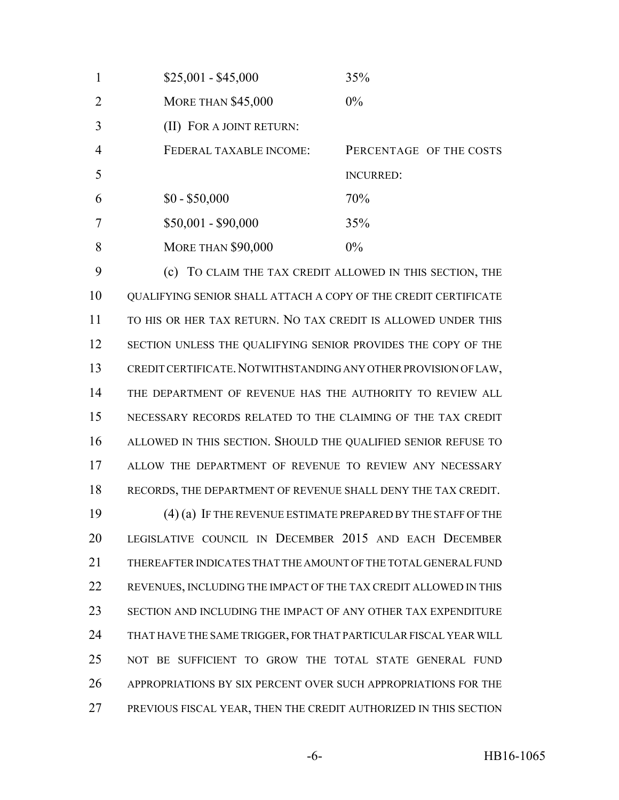| $\mathbf{1}$   | $$25,001 - $45,000$       | 35%                     |
|----------------|---------------------------|-------------------------|
| 2              | <b>MORE THAN \$45,000</b> | $0\%$                   |
| 3              | (II) FOR A JOINT RETURN:  |                         |
| $\overline{4}$ | FEDERAL TAXABLE INCOME:   | PERCENTAGE OF THE COSTS |
| 5              |                           | <b>INCURRED:</b>        |
| 6              | $$0 - $50,000$            | 70%                     |
| $\overline{7}$ | $$50,001 - $90,000$       | 35%                     |
| 8              | <b>MORE THAN \$90,000</b> | $0\%$                   |

 (c) TO CLAIM THE TAX CREDIT ALLOWED IN THIS SECTION, THE QUALIFYING SENIOR SHALL ATTACH A COPY OF THE CREDIT CERTIFICATE TO HIS OR HER TAX RETURN. NO TAX CREDIT IS ALLOWED UNDER THIS 12 SECTION UNLESS THE QUALIFYING SENIOR PROVIDES THE COPY OF THE CREDIT CERTIFICATE.NOTWITHSTANDING ANY OTHER PROVISION OF LAW, THE DEPARTMENT OF REVENUE HAS THE AUTHORITY TO REVIEW ALL NECESSARY RECORDS RELATED TO THE CLAIMING OF THE TAX CREDIT ALLOWED IN THIS SECTION. SHOULD THE QUALIFIED SENIOR REFUSE TO ALLOW THE DEPARTMENT OF REVENUE TO REVIEW ANY NECESSARY RECORDS, THE DEPARTMENT OF REVENUE SHALL DENY THE TAX CREDIT.

 (4) (a) IF THE REVENUE ESTIMATE PREPARED BY THE STAFF OF THE LEGISLATIVE COUNCIL IN DECEMBER 2015 AND EACH DECEMBER THEREAFTER INDICATES THAT THE AMOUNT OF THE TOTAL GENERAL FUND REVENUES, INCLUDING THE IMPACT OF THE TAX CREDIT ALLOWED IN THIS SECTION AND INCLUDING THE IMPACT OF ANY OTHER TAX EXPENDITURE THAT HAVE THE SAME TRIGGER, FOR THAT PARTICULAR FISCAL YEAR WILL NOT BE SUFFICIENT TO GROW THE TOTAL STATE GENERAL FUND APPROPRIATIONS BY SIX PERCENT OVER SUCH APPROPRIATIONS FOR THE PREVIOUS FISCAL YEAR, THEN THE CREDIT AUTHORIZED IN THIS SECTION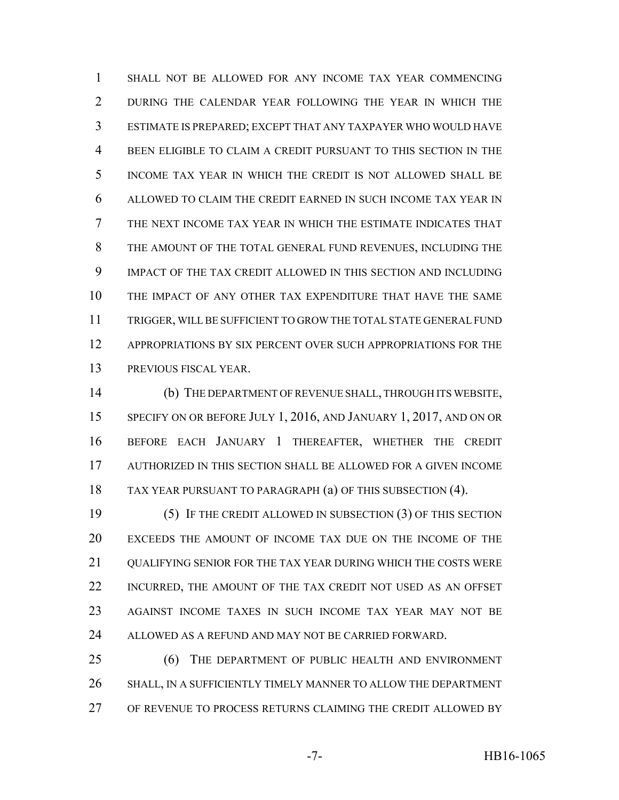SHALL NOT BE ALLOWED FOR ANY INCOME TAX YEAR COMMENCING DURING THE CALENDAR YEAR FOLLOWING THE YEAR IN WHICH THE ESTIMATE IS PREPARED; EXCEPT THAT ANY TAXPAYER WHO WOULD HAVE BEEN ELIGIBLE TO CLAIM A CREDIT PURSUANT TO THIS SECTION IN THE INCOME TAX YEAR IN WHICH THE CREDIT IS NOT ALLOWED SHALL BE ALLOWED TO CLAIM THE CREDIT EARNED IN SUCH INCOME TAX YEAR IN THE NEXT INCOME TAX YEAR IN WHICH THE ESTIMATE INDICATES THAT THE AMOUNT OF THE TOTAL GENERAL FUND REVENUES, INCLUDING THE IMPACT OF THE TAX CREDIT ALLOWED IN THIS SECTION AND INCLUDING THE IMPACT OF ANY OTHER TAX EXPENDITURE THAT HAVE THE SAME TRIGGER, WILL BE SUFFICIENT TO GROW THE TOTAL STATE GENERAL FUND APPROPRIATIONS BY SIX PERCENT OVER SUCH APPROPRIATIONS FOR THE PREVIOUS FISCAL YEAR.

 (b) THE DEPARTMENT OF REVENUE SHALL, THROUGH ITS WEBSITE, 15 SPECIFY ON OR BEFORE JULY 1, 2016, AND JANUARY 1, 2017, AND ON OR BEFORE EACH JANUARY 1 THEREAFTER, WHETHER THE CREDIT AUTHORIZED IN THIS SECTION SHALL BE ALLOWED FOR A GIVEN INCOME TAX YEAR PURSUANT TO PARAGRAPH (a) OF THIS SUBSECTION (4).

 (5) IF THE CREDIT ALLOWED IN SUBSECTION (3) OF THIS SECTION EXCEEDS THE AMOUNT OF INCOME TAX DUE ON THE INCOME OF THE 21 OUALIFYING SENIOR FOR THE TAX YEAR DURING WHICH THE COSTS WERE INCURRED, THE AMOUNT OF THE TAX CREDIT NOT USED AS AN OFFSET AGAINST INCOME TAXES IN SUCH INCOME TAX YEAR MAY NOT BE 24 ALLOWED AS A REFUND AND MAY NOT BE CARRIED FORWARD.

 (6) THE DEPARTMENT OF PUBLIC HEALTH AND ENVIRONMENT SHALL, IN A SUFFICIENTLY TIMELY MANNER TO ALLOW THE DEPARTMENT OF REVENUE TO PROCESS RETURNS CLAIMING THE CREDIT ALLOWED BY